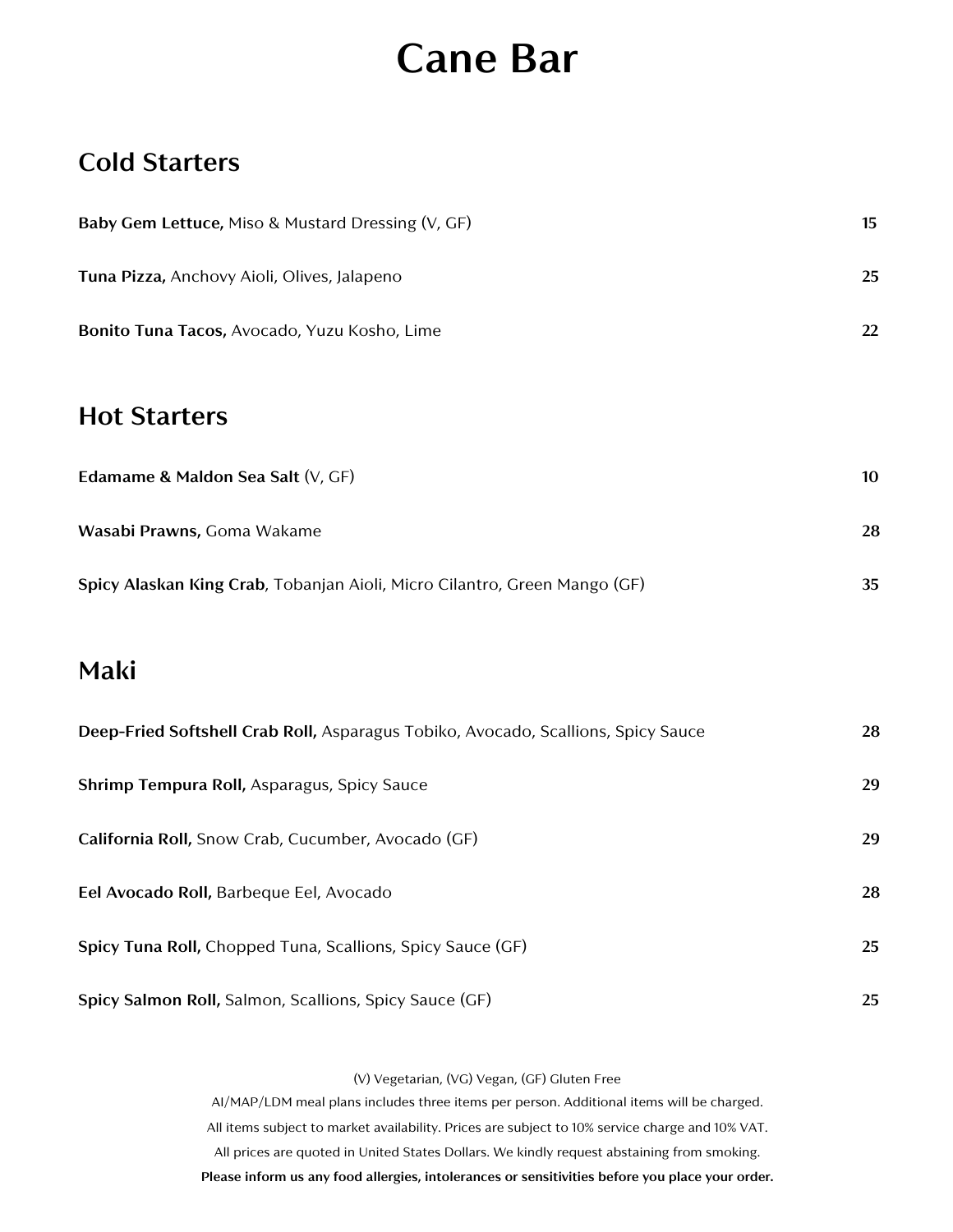# **Cane Bar**

#### **Cold Starters**

| Baby Gem Lettuce, Miso & Mustard Dressing (V, GF)                                 | 15 |
|-----------------------------------------------------------------------------------|----|
| Tuna Pizza, Anchovy Aioli, Olives, Jalapeno                                       | 25 |
| Bonito Tuna Tacos, Avocado, Yuzu Kosho, Lime                                      | 22 |
| <b>Hot Starters</b>                                                               |    |
| Edamame & Maldon Sea Salt (V, GF)                                                 | 10 |
| Wasabi Prawns, Goma Wakame                                                        | 28 |
| Spicy Alaskan King Crab, Tobanjan Aioli, Micro Cilantro, Green Mango (GF)         | 35 |
| Maki                                                                              |    |
| Deep-Fried Softshell Crab Roll, Asparagus Tobiko, Avocado, Scallions, Spicy Sauce | 28 |
| Shrimp Tempura Roll, Asparagus, Spicy Sauce                                       | 29 |
| California Roll, Snow Crab, Cucumber, Avocado (GF)                                | 29 |
| Eel Avocado Roll, Barbeque Eel, Avocado                                           | 28 |
| Spicy Tuna Roll, Chopped Tuna, Scallions, Spicy Sauce (GF)                        | 25 |
| Spicy Salmon Roll, Salmon, Scallions, Spicy Sauce (GF)                            | 25 |

(V) Vegetarian, (VG) Vegan, (GF) Gluten Free

AI/MAP/LDM meal plans includes three items per person. Additional items will be charged. All items subject to market availability. Prices are subject to 10% service charge and 10% VAT. All prices are quoted in United States Dollars. We kindly request abstaining from smoking. **Please inform us any food allergies, intolerances or sensitivities before you place your order.**